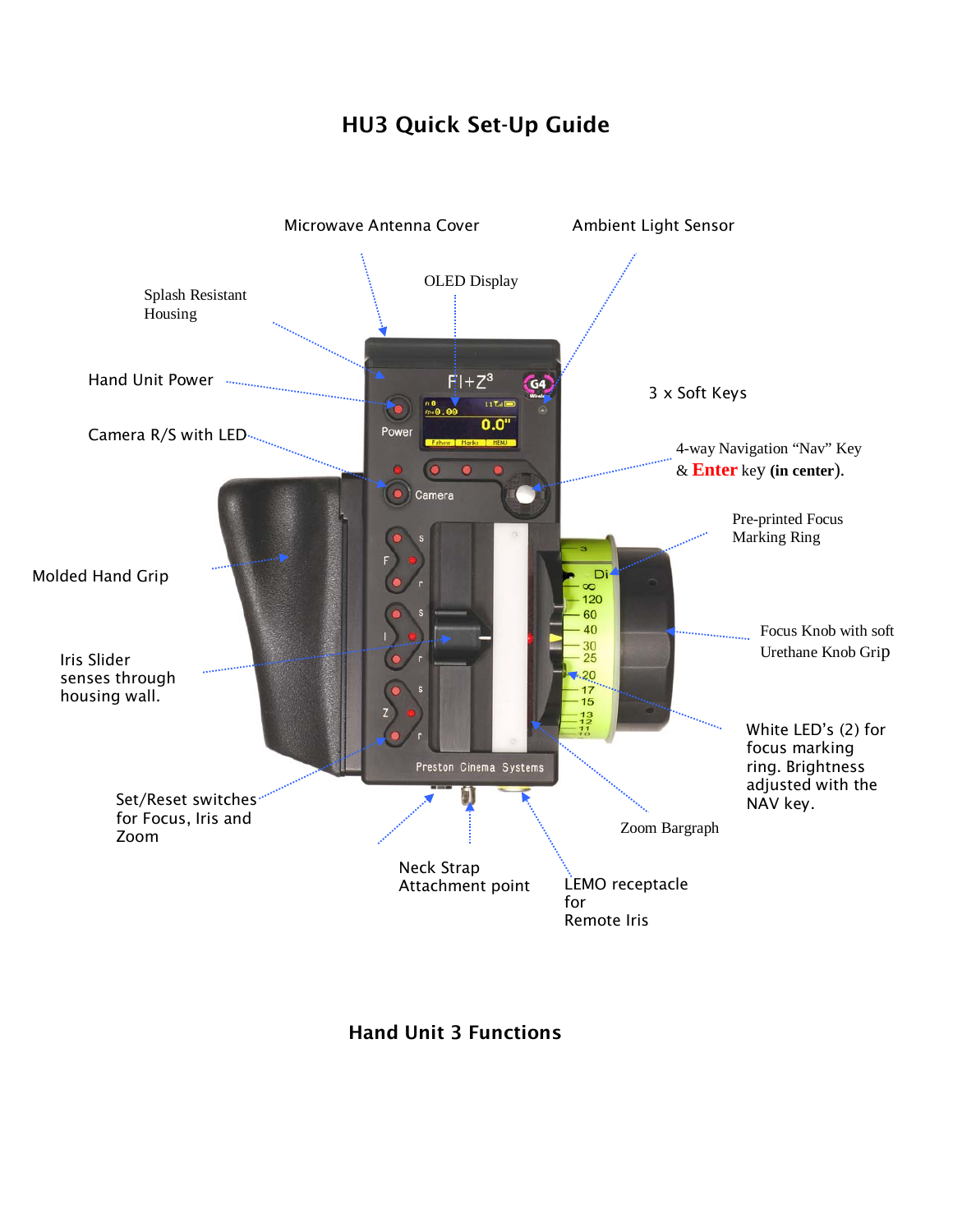## HU3 Quick Set-Up Guide



Hand Unit 3 Functions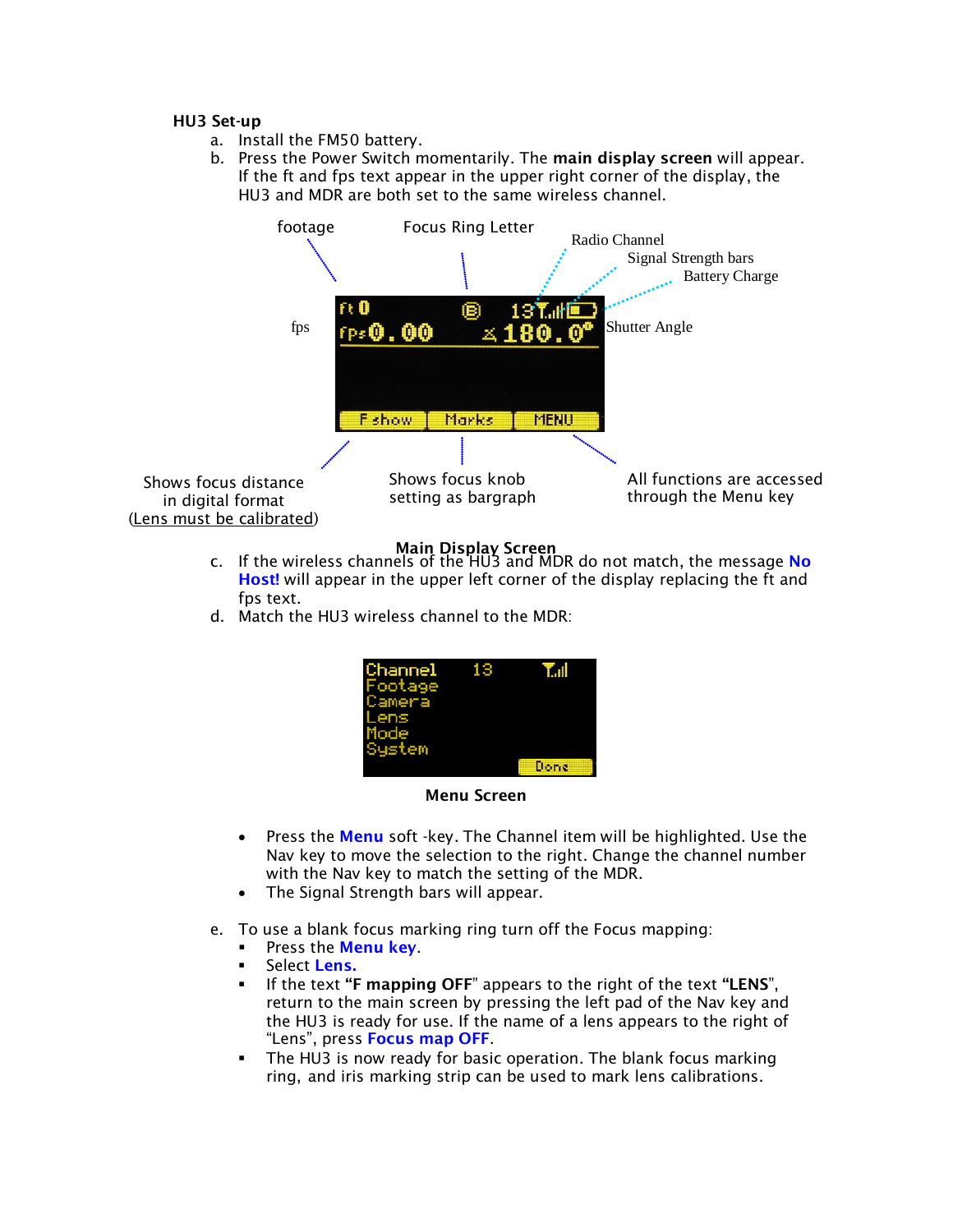## HU3 Set-up

- a. Install the FM50 battery.
- b. Press the Power Switch momentarily. The main display screen will appear. If the ft and fps text appear in the upper right corner of the display, the HU3 and MDR are both set to the same wireless channel.



- **Main Display Screen**<br>C. If the wireless channels of the HU3 and MDR do not match, the message **No** Host! will appear in the upper left corner of the display replacing the ft and fps text.
- d. Match the HU3 wireless channel to the MDR:

| Channel<br>Footage<br>Camera<br>Lens<br>Mode<br>System | 13 | ŦШ   |
|--------------------------------------------------------|----|------|
|                                                        |    | Done |

Menu Screen

- Press the Menu soft -key. The Channel item will be highlighted. Use the Nav key to move the selection to the right. Change the channel number with the Nav key to match the setting of the MDR.
- The Signal Strength bars will appear.
- e. To use a blank focus marking ring turn off the Focus mapping:
	- **Press the Menu key.**
	- Select Lens.
	- If the text "F mapping OFF" appears to the right of the text "LENS", return to the main screen by pressing the left pad of the Nav key and the HU3 is ready for use. If the name of a lens appears to the right of "Lens", press Focus map OFF.
	- The HU3 is now ready for basic operation. The blank focus marking ring, and iris marking strip can be used to mark lens calibrations.